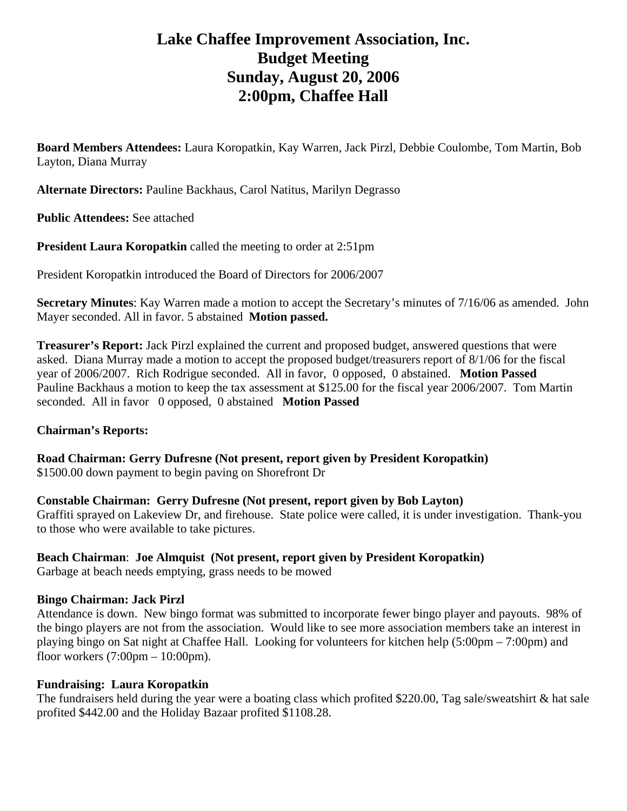# **Lake Chaffee Improvement Association, Inc. Budget Meeting Sunday, August 20, 2006 2:00pm, Chaffee Hall**

**Board Members Attendees:** Laura Koropatkin, Kay Warren, Jack Pirzl, Debbie Coulombe, Tom Martin, Bob Layton, Diana Murray

**Alternate Directors:** Pauline Backhaus, Carol Natitus, Marilyn Degrasso

**Public Attendees:** See attached

**President Laura Koropatkin** called the meeting to order at 2:51pm

President Koropatkin introduced the Board of Directors for 2006/2007

**Secretary Minutes**: Kay Warren made a motion to accept the Secretary's minutes of 7/16/06 as amended. John Mayer seconded. All in favor. 5 abstained **Motion passed.** 

**Treasurer's Report:** Jack Pirzl explained the current and proposed budget, answered questions that were asked. Diana Murray made a motion to accept the proposed budget/treasurers report of 8/1/06 for the fiscal year of 2006/2007. Rich Rodrigue seconded. All in favor, 0 opposed, 0 abstained. **Motion Passed**  Pauline Backhaus a motion to keep the tax assessment at \$125.00 for the fiscal year 2006/2007. Tom Martin seconded. All in favor 0 opposed, 0 abstained **Motion Passed**

## **Chairman's Reports:**

**Road Chairman: Gerry Dufresne (Not present, report given by President Koropatkin)**  \$1500.00 down payment to begin paving on Shorefront Dr

#### **Constable Chairman: Gerry Dufresne (Not present, report given by Bob Layton)**

Graffiti sprayed on Lakeview Dr, and firehouse. State police were called, it is under investigation. Thank-you to those who were available to take pictures.

# **Beach Chairman**: **Joe Almquist (Not present, report given by President Koropatkin)**

Garbage at beach needs emptying, grass needs to be mowed

#### **Bingo Chairman: Jack Pirzl**

Attendance is down. New bingo format was submitted to incorporate fewer bingo player and payouts. 98% of the bingo players are not from the association. Would like to see more association members take an interest in playing bingo on Sat night at Chaffee Hall. Looking for volunteers for kitchen help (5:00pm – 7:00pm) and floor workers  $(7:00 \text{pm} - 10:00 \text{pm})$ .

#### **Fundraising: Laura Koropatkin**

The fundraisers held during the year were a boating class which profited \$220.00, Tag sale/sweatshirt & hat sale profited \$442.00 and the Holiday Bazaar profited \$1108.28.